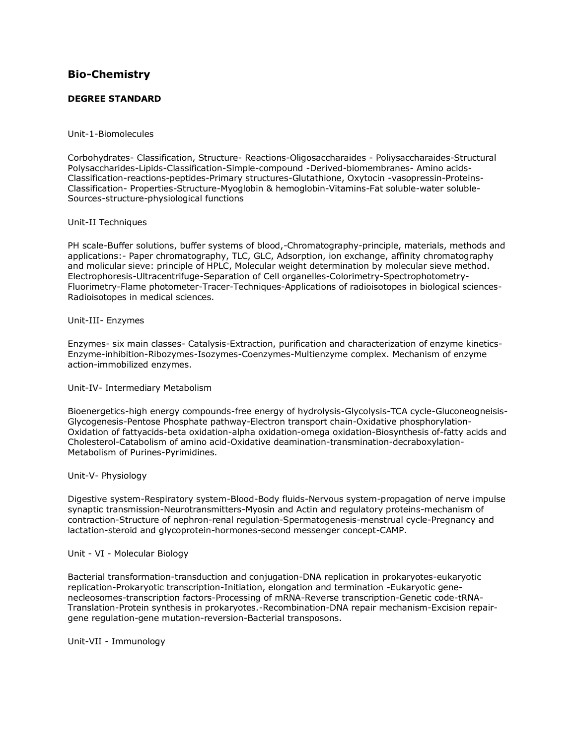# **[Bio-Chemistry](http://www.tnpsc.gov.in/Syllabus/biochemistry.htm)**

# **DEGREE STANDARD**

# Unit-1-Biomolecules

Corbohydrates- Classification, Structure- Reactions-Oligosaccharaides - Poliysaccharaides-Structural Polysaccharides-Lipids-Classification-Simple-compound -Derived-biomembranes- Amino acids-Classification-reactions-peptides-Primary structures-Glutathione, Oxytocin -vasopressin-Proteins-Classification- Properties-Structure-Myoglobin & hemoglobin-Vitamins-Fat soluble-water soluble-Sources-structure-physiological functions

# Unit-II Techniques

PH scale-Buffer solutions, buffer systems of blood,-Chromatography-principle, materials, methods and applications:- Paper chromatography, TLC, GLC, Adsorption, ion exchange, affinity chromatography and molicular sieve: principle of HPLC, Molecular weight determination by molecular sieve method. Electrophoresis-Ultracentrifuge-Separation of Cell organelles-Colorimetry-Spectrophotometry-Fluorimetry-Flame photometer-Tracer-Techniques-Applications of radioisotopes in biological sciences-Radioisotopes in medical sciences.

# Unit-III- Enzymes

Enzymes- six main classes- Catalysis-Extraction, purification and characterization of enzyme kinetics-Enzyme-inhibition-Ribozymes-Isozymes-Coenzymes-Multienzyme complex. Mechanism of enzyme action-immobilized enzymes.

#### Unit-IV- Intermediary Metabolism

Bioenergetics-high energy compounds-free energy of hydrolysis-Glycolysis-TCA cycle-Gluconeogneisis-Glycogenesis-Pentose Phosphate pathway-Electron transport chain-Oxidative phosphorylation-Oxidation of fattyacids-beta oxidation-alpha oxidation-omega oxidation-Biosynthesis of-fatty acids and Cholesterol-Catabolism of amino acid-Oxidative deamination-transmination-decraboxylation-Metabolism of Purines-Pyrimidines.

#### Unit-V- Physiology

Digestive system-Respiratory system-Blood-Body fluids-Nervous system-propagation of nerve impulse synaptic transmission-Neurotransmitters-Myosin and Actin and regulatory proteins-mechanism of contraction-Structure of nephron-renal regulation-Spermatogenesis-menstrual cycle-Pregnancy and lactation-steroid and glycoprotein-hormones-second messenger concept-CAMP.

#### Unit - VI - Molecular Biology

Bacterial transformation-transduction and conjugation-DNA replication in prokaryotes-eukaryotic replication-Prokaryotic transcription-Initiation, elongation and termination -Eukaryotic genenecleosomes-transcription factors-Processing of mRNA-Reverse transcription-Genetic code-tRNA-Translation-Protein synthesis in prokaryotes.-Recombination-DNA repair mechanism-Excision repairgene regulation-gene mutation-reversion-Bacterial transposons.

Unit-VII - Immunology